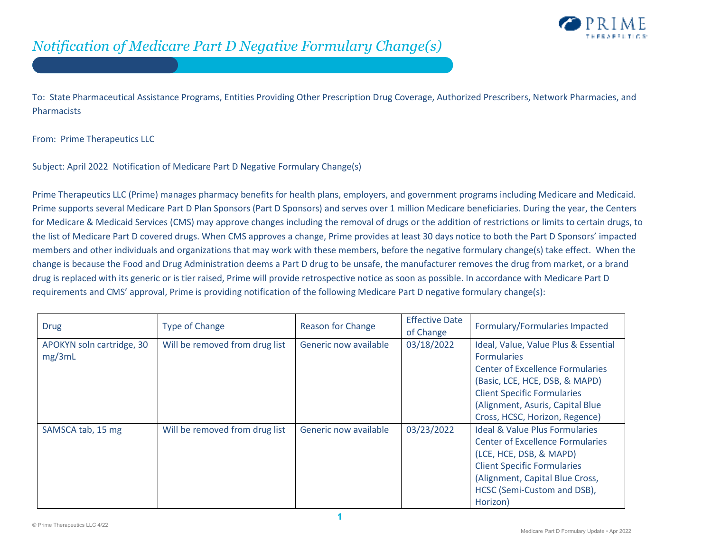

To: State Pharmaceutical Assistance Programs, Entities Providing Other Prescription Drug Coverage, Authorized Prescribers, Network Pharmacies, and Pharmacists

From: Prime Therapeutics LLC

Subject: April 2022 Notification of Medicare Part D Negative Formulary Change(s)

Prime Therapeutics LLC (Prime) manages pharmacy benefits for health plans, employers, and government programs including Medicare and Medicaid. Prime supports several Medicare Part D Plan Sponsors (Part D Sponsors) and serves over 1 million Medicare beneficiaries. During the year, the Centers for Medicare & Medicaid Services (CMS) may approve changes including the removal of drugs or the addition of restrictions or limits to certain drugs, to the list of Medicare Part D covered drugs. When CMS approves a change, Prime provides at least 30 days notice to both the Part D Sponsors' impacted members and other individuals and organizations that may work with these members, before the negative formulary change(s) take effect. When the change is because the Food and Drug Administration deems a Part D drug to be unsafe, the manufacturer removes the drug from market, or a brand drug is replaced with its generic or is tier raised, Prime will provide retrospective notice as soon as possible. In accordance with Medicare Part D requirements and CMS' approval, Prime is providing notification of the following Medicare Part D negative formulary change(s):

| <b>Drug</b>                         | <b>Type of Change</b>          | <b>Reason for Change</b> | <b>Effective Date</b><br>of Change | Formulary/Formularies Impacted                                                                                                                                                                                                                      |
|-------------------------------------|--------------------------------|--------------------------|------------------------------------|-----------------------------------------------------------------------------------------------------------------------------------------------------------------------------------------------------------------------------------------------------|
| APOKYN soln cartridge, 30<br>mg/3mL | Will be removed from drug list | Generic now available    | 03/18/2022                         | Ideal, Value, Value Plus & Essential<br><b>Formularies</b><br><b>Center of Excellence Formularies</b><br>(Basic, LCE, HCE, DSB, & MAPD)<br><b>Client Specific Formularies</b><br>(Alignment, Asuris, Capital Blue<br>Cross, HCSC, Horizon, Regence) |
| SAMSCA tab, 15 mg                   | Will be removed from drug list | Generic now available    | 03/23/2022                         | <b>Ideal &amp; Value Plus Formularies</b><br><b>Center of Excellence Formularies</b><br>(LCE, HCE, DSB, & MAPD)<br><b>Client Specific Formularies</b><br>(Alignment, Capital Blue Cross,<br>HCSC (Semi-Custom and DSB),<br>Horizon)                 |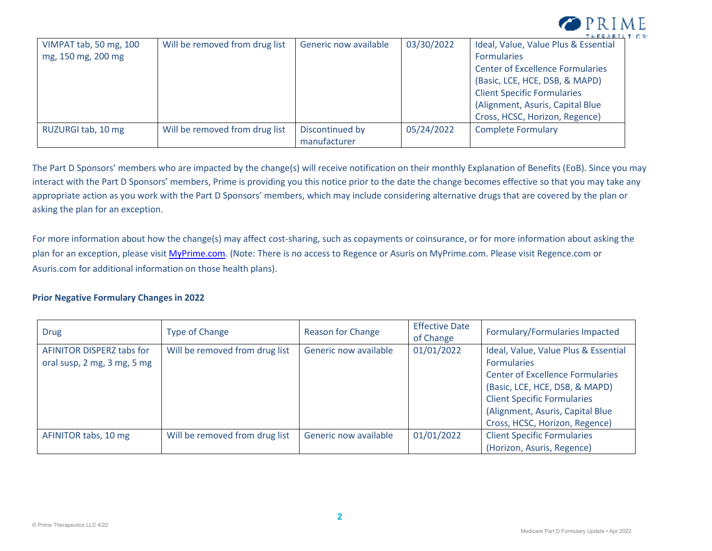

| VIMPAT tab, 50 mg, 100 | Will be removed from drug list | Generic now available | 03/30/2022 | .<br>Ideal, Value, Value Plus & Essential |
|------------------------|--------------------------------|-----------------------|------------|-------------------------------------------|
| mg, 150 mg, 200 mg     |                                |                       |            | <b>Formularies</b>                        |
|                        |                                |                       |            | <b>Center of Excellence Formularies</b>   |
|                        |                                |                       |            | (Basic, LCE, HCE, DSB, & MAPD)            |
|                        |                                |                       |            | <b>Client Specific Formularies</b>        |
|                        |                                |                       |            | (Alignment, Asuris, Capital Blue)         |
|                        |                                |                       |            | Cross, HCSC, Horizon, Regence)            |
| RUZURGI tab, 10 mg     | Will be removed from drug list | Discontinued by       | 05/24/2022 | <b>Complete Formulary</b>                 |
|                        |                                | manufacturer          |            |                                           |

The Part D Sponsors' members who are impacted by the change(s) will receive notification on their monthly Explanation of Benefits (EoB). Since you may interact with the Part D Sponsors' members, Prime is providing you this notice prior to the date the change becomes effective so that you may take any appropriate action as you work with the Part D Sponsors' members, which may include considering alternative drugs that are covered by the plan or asking the plan for an exception.

For more information about how the change(s) may affect cost-sharing, such as copayments or coinsurance, or for more information about asking the plan for an exception, please visit MyPrime.com. (Note: There is no access to Regence or Asuris on MyPrime.com. Please visit Regence.com or Asuris.com for additional information on those health plans).

## **Prior Negative Formulary Changes in 2022**

| <b>Drug</b>                                              | <b>Type of Change</b>          | <b>Reason for Change</b> | <b>Effective Date</b><br>of Change | Formulary/Formularies Impacted                                                                                                                                                                                                                      |
|----------------------------------------------------------|--------------------------------|--------------------------|------------------------------------|-----------------------------------------------------------------------------------------------------------------------------------------------------------------------------------------------------------------------------------------------------|
| AFINITOR DISPERZ tabs for<br>oral susp, 2 mg, 3 mg, 5 mg | Will be removed from drug list | Generic now available    | 01/01/2022                         | Ideal, Value, Value Plus & Essential<br><b>Formularies</b><br><b>Center of Excellence Formularies</b><br>(Basic, LCE, HCE, DSB, & MAPD)<br><b>Client Specific Formularies</b><br>(Alignment, Asuris, Capital Blue<br>Cross, HCSC, Horizon, Regence) |
| AFINITOR tabs, 10 mg                                     | Will be removed from drug list | Generic now available    | 01/01/2022                         | <b>Client Specific Formularies</b><br>(Horizon, Asuris, Regence)                                                                                                                                                                                    |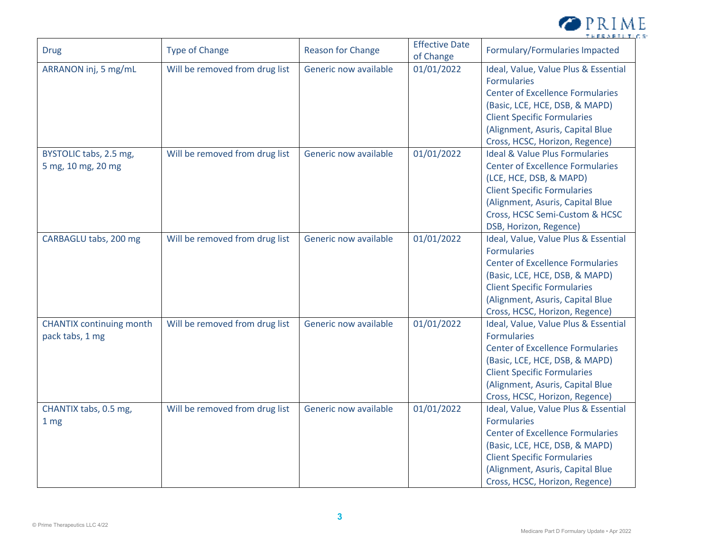

| <b>Drug</b>                                        | <b>Type of Change</b>          | <b>Reason for Change</b> | <b>Effective Date</b><br>of Change | Formulary/Formularies Impacted                                                                                                                                                                                                                        |
|----------------------------------------------------|--------------------------------|--------------------------|------------------------------------|-------------------------------------------------------------------------------------------------------------------------------------------------------------------------------------------------------------------------------------------------------|
| ARRANON inj, 5 mg/mL                               | Will be removed from drug list | Generic now available    | 01/01/2022                         | Ideal, Value, Value Plus & Essential<br><b>Formularies</b><br><b>Center of Excellence Formularies</b><br>(Basic, LCE, HCE, DSB, & MAPD)<br><b>Client Specific Formularies</b><br>(Alignment, Asuris, Capital Blue<br>Cross, HCSC, Horizon, Regence)   |
| BYSTOLIC tabs, 2.5 mg,<br>5 mg, 10 mg, 20 mg       | Will be removed from drug list | Generic now available    | 01/01/2022                         | <b>Ideal &amp; Value Plus Formularies</b><br><b>Center of Excellence Formularies</b><br>(LCE, HCE, DSB, & MAPD)<br><b>Client Specific Formularies</b><br>(Alignment, Asuris, Capital Blue<br>Cross, HCSC Semi-Custom & HCSC<br>DSB, Horizon, Regence) |
| CARBAGLU tabs, 200 mg                              | Will be removed from drug list | Generic now available    | 01/01/2022                         | Ideal, Value, Value Plus & Essential<br><b>Formularies</b><br><b>Center of Excellence Formularies</b><br>(Basic, LCE, HCE, DSB, & MAPD)<br><b>Client Specific Formularies</b><br>(Alignment, Asuris, Capital Blue<br>Cross, HCSC, Horizon, Regence)   |
| <b>CHANTIX</b> continuing month<br>pack tabs, 1 mg | Will be removed from drug list | Generic now available    | 01/01/2022                         | Ideal, Value, Value Plus & Essential<br><b>Formularies</b><br><b>Center of Excellence Formularies</b><br>(Basic, LCE, HCE, DSB, & MAPD)<br><b>Client Specific Formularies</b><br>(Alignment, Asuris, Capital Blue<br>Cross, HCSC, Horizon, Regence)   |
| CHANTIX tabs, 0.5 mg,<br>1 <sub>mg</sub>           | Will be removed from drug list | Generic now available    | 01/01/2022                         | Ideal, Value, Value Plus & Essential<br><b>Formularies</b><br><b>Center of Excellence Formularies</b><br>(Basic, LCE, HCE, DSB, & MAPD)<br><b>Client Specific Formularies</b><br>(Alignment, Asuris, Capital Blue<br>Cross, HCSC, Horizon, Regence)   |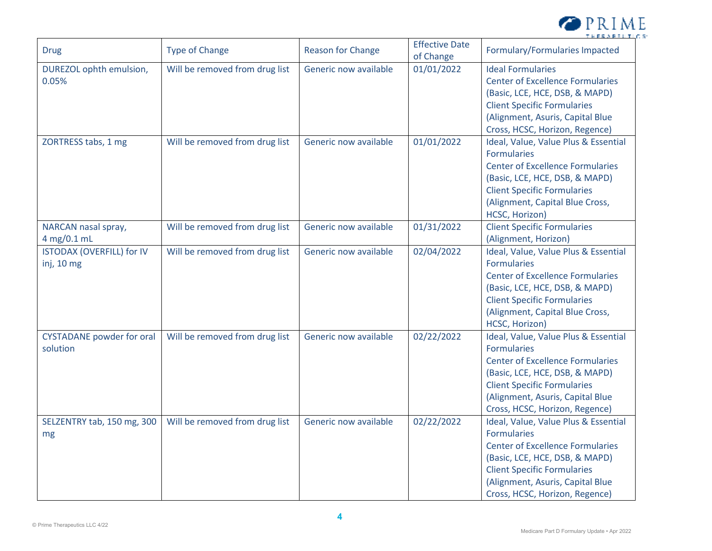

| <b>Drug</b>                                    | <b>Type of Change</b>          | <b>Reason for Change</b> | <b>Effective Date</b><br>of Change | Formulary/Formularies Impacted                                                                                                                                                                                                                      |
|------------------------------------------------|--------------------------------|--------------------------|------------------------------------|-----------------------------------------------------------------------------------------------------------------------------------------------------------------------------------------------------------------------------------------------------|
| DUREZOL ophth emulsion,<br>0.05%               | Will be removed from drug list | Generic now available    | 01/01/2022                         | <b>Ideal Formularies</b><br><b>Center of Excellence Formularies</b><br>(Basic, LCE, HCE, DSB, & MAPD)<br><b>Client Specific Formularies</b><br>(Alignment, Asuris, Capital Blue<br>Cross, HCSC, Horizon, Regence)                                   |
| ZORTRESS tabs, 1 mg                            | Will be removed from drug list | Generic now available    | 01/01/2022                         | Ideal, Value, Value Plus & Essential<br><b>Formularies</b><br><b>Center of Excellence Formularies</b><br>(Basic, LCE, HCE, DSB, & MAPD)<br><b>Client Specific Formularies</b><br>(Alignment, Capital Blue Cross,<br>HCSC, Horizon)                  |
| NARCAN nasal spray,<br>4 mg/0.1 mL             | Will be removed from drug list | Generic now available    | 01/31/2022                         | <b>Client Specific Formularies</b><br>(Alignment, Horizon)                                                                                                                                                                                          |
| <b>ISTODAX (OVERFILL) for IV</b><br>inj, 10 mg | Will be removed from drug list | Generic now available    | 02/04/2022                         | Ideal, Value, Value Plus & Essential<br><b>Formularies</b><br><b>Center of Excellence Formularies</b><br>(Basic, LCE, HCE, DSB, & MAPD)<br><b>Client Specific Formularies</b><br>(Alignment, Capital Blue Cross,<br>HCSC, Horizon)                  |
| <b>CYSTADANE</b> powder for oral<br>solution   | Will be removed from drug list | Generic now available    | 02/22/2022                         | Ideal, Value, Value Plus & Essential<br><b>Formularies</b><br><b>Center of Excellence Formularies</b><br>(Basic, LCE, HCE, DSB, & MAPD)<br><b>Client Specific Formularies</b><br>(Alignment, Asuris, Capital Blue<br>Cross, HCSC, Horizon, Regence) |
| SELZENTRY tab, 150 mg, 300<br>mg               | Will be removed from drug list | Generic now available    | 02/22/2022                         | Ideal, Value, Value Plus & Essential<br><b>Formularies</b><br><b>Center of Excellence Formularies</b><br>(Basic, LCE, HCE, DSB, & MAPD)<br><b>Client Specific Formularies</b><br>(Alignment, Asuris, Capital Blue<br>Cross, HCSC, Horizon, Regence) |